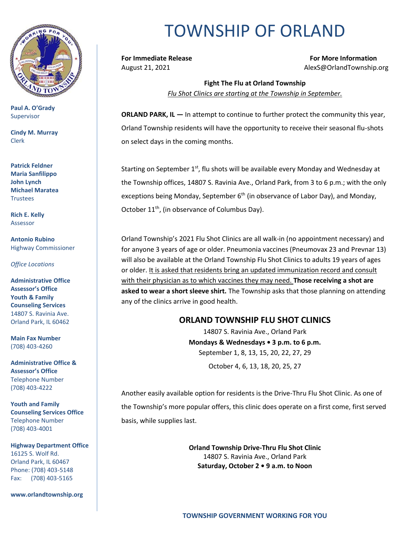

**Paul A. O'Grady** Supervisor

**Cindy M. Murray** Clerk

**Patrick Feldner Maria Sanfilippo John Lynch Michael Maratea** Trustees

**Rich E. Kelly** Assessor

**Antonio Rubino** Highway Commissioner

*Office Locations*

**Administrative Office Assessor's Office Youth & Family Counseling Services** 14807 S. Ravinia Ave. Orland Park, IL 60462

**Main Fax Number**  (708) 403-4260

**Administrative Office & Assessor's Office**  Telephone Number (708) 403-4222

**Youth and Family Counseling Services Office**  Telephone Number (708) 403-4001

**Highway Department Office** 16125 S. Wolf Rd. Orland Park, IL 60467 Phone: (708) 403-5148 Fax: (708) 403-5165

**www.orlandtownship.org**

# TOWNSHIP OF ORLAND

**For Immediate Release For More Information** August 21, 2021 **August 21, 2021** Alexs@OrlandTownship.org

> **Fight The Flu at Orland Township** *Flu Shot Clinics are starting at the Township in September.*

**ORLAND PARK, IL - In attempt to continue to further protect the community this year,** Orland Township residents will have the opportunity to receive their seasonal flu-shots on select days in the coming months.

Starting on September 1st, flu shots will be available every Monday and Wednesday at the Township offices, 14807 S. Ravinia Ave., Orland Park, from 3 to 6 p.m.; with the only exceptions being Monday, September  $6<sup>th</sup>$  (in observance of Labor Day), and Monday, October 11<sup>th</sup>, (in observance of Columbus Day).

Orland Township's 2021 Flu Shot Clinics are all walk-in (no appointment necessary) and for anyone 3 years of age or older. Pneumonia vaccines (Pneumovax 23 and Prevnar 13) will also be available at the Orland Township Flu Shot Clinics to adults 19 years of ages or older. It is asked that residents bring an updated immunization record and consult with their physician as to which vaccines they may need. **Those receiving a shot are asked to wear a short sleeve shirt.** The Township asks that those planning on attending any of the clinics arrive in good health.

# **ORLAND TOWNSHIP FLU SHOT CLINICS**

14807 S. Ravinia Ave., Orland Park **Mondays & Wednesdays • 3 p.m. to 6 p.m.** September 1, 8, 13, 15, 20, 22, 27, 29 October 4, 6, 13, 18, 20, 25, 27

Another easily available option for residents is the Drive-Thru Flu Shot Clinic. As one of the Township's more popular offers, this clinic does operate on a first come, first served basis, while supplies last.

> **Orland Township Drive-Thru Flu Shot Clinic** 14807 S. Ravinia Ave., Orland Park **Saturday, October 2 • 9 a.m. to Noon**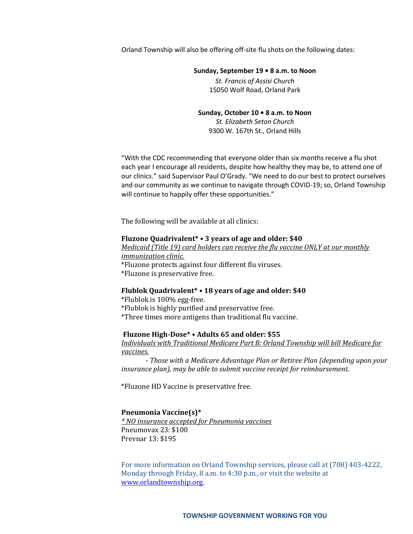Orland Township will also be offering off-site flu shots on the following dates:

### **Sunday, September 19 • 8 a.m. to Noon**

*St. Francis of Assisi Church* 15050 Wolf Road, Orland Park

## **Sunday, October 10 • 8 a.m. to Noon**

*St. Elizabeth Seton Church*  9300 W. 167th St., Orland Hills

"With the CDC recommending that everyone older than six months receive a flu shot each year I encourage all residents, despite how healthy they may be, to attend one of our clinics." said Supervisor Paul O'Grady. "We need to do our best to protect ourselves and our community as we continue to navigate through COVID-19; so, Orland Township will continue to happily offer these opportunities."

The following will be available at all clinics:

#### **Fluzone Quadrivalent\* • 3 years of age and older: \$40**

*Medicaid (Title 19) card holders can receive the flu vaccine ONLY at our monthly immunization clinic.*  \*Fluzone protects against four different flu viruses.

\*Fluzone is preservative free.

#### **Flublok Quadrivalent\* • 18 years of age and older: \$40**

\*Flublok is 100% egg-free. \*Flublok is highly purified and preservative free. \*Three times more antigens than traditional flu vaccine.

#### **Fluzone High-Dose\* • Adults 65 and older: \$55**

*Individuals with Traditional Medicare Part B: Orland Township will bill Medicare for vaccines.*

- *Those with a Medicare Advantage Plan or Retiree Plan (depending upon your insurance plan), may be able to submit vaccine receipt for reimbursement.* 

\*Fluzone HD Vaccine is preservative free.

#### **Pneumonia Vaccine(s)\***

*\* NO insurance accepted for Pneumonia vaccines* Pneumovax 23: \$100 Prevnar 13: \$195

For more information on Orland Township services, please call at (708) 403-4222, Monday through Friday, 8 a.m. to 4:30 p.m., or visit the website at [www.orlandtownship.org.](http://www.orlandtownship.org/)